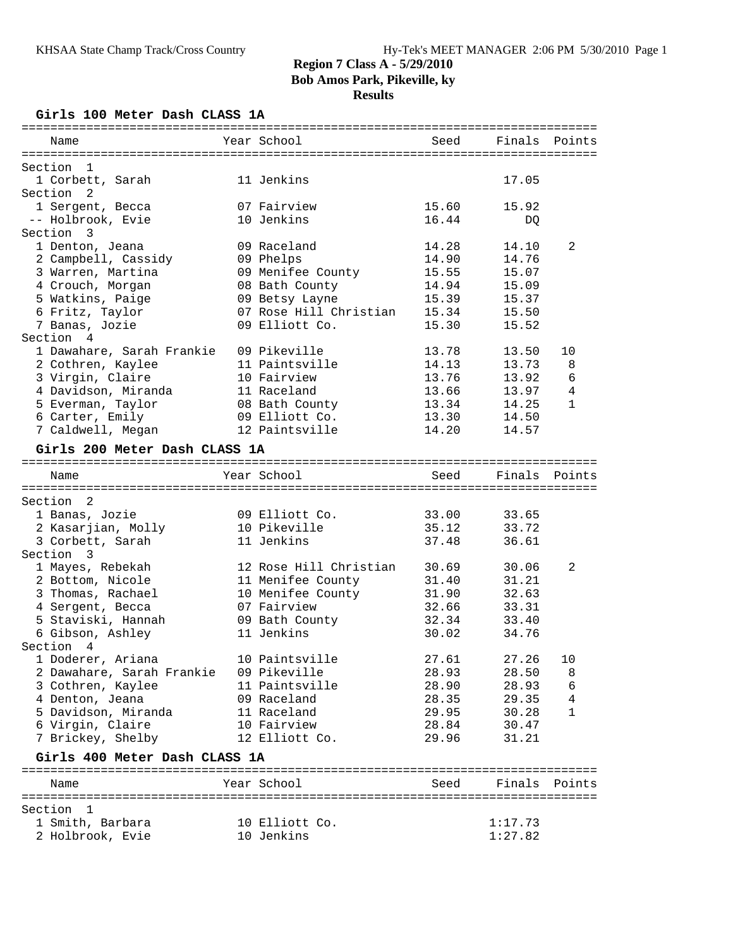#### **Results**

**Girls 100 Meter Dash CLASS 1A**

| Name                                     | Year School            | Seed  | Finals        | Points        |
|------------------------------------------|------------------------|-------|---------------|---------------|
|                                          |                        |       |               |               |
| Section<br>$\mathbf{1}$                  |                        |       |               |               |
| 1 Corbett, Sarah<br>Section <sub>2</sub> | 11 Jenkins             |       | 17.05         |               |
|                                          | 07 Fairview            | 15.60 | 15.92         |               |
| 1 Sergent, Becca<br>-- Holbrook, Evie    | 10 Jenkins             | 16.44 | DQ            |               |
| Section<br>- 3                           |                        |       |               |               |
| 1 Denton, Jeana                          | 09 Raceland            | 14.28 | 14.10         | 2             |
| 2 Campbell, Cassidy                      | 09 Phelps              | 14.90 | 14.76         |               |
| 3 Warren, Martina                        | 09 Menifee County      | 15.55 | 15.07         |               |
| 4 Crouch, Morgan                         | 08 Bath County         | 14.94 | 15.09         |               |
| 5 Watkins, Paige                         | 09 Betsy Layne         | 15.39 | 15.37         |               |
| 6 Fritz, Taylor                          | 07 Rose Hill Christian | 15.34 | 15.50         |               |
| 7 Banas, Jozie                           | 09 Elliott Co.         | 15.30 | 15.52         |               |
| Section 4                                |                        |       |               |               |
| 1 Dawahare, Sarah Frankie                | 09 Pikeville           | 13.78 | 13.50         | 10            |
| 2 Cothren, Kaylee                        | 11 Paintsville         | 14.13 | 13.73         | 8             |
| 3 Virgin, Claire                         | 10 Fairview            | 13.76 | 13.92         | 6             |
| 4 Davidson, Miranda                      | 11 Raceland            | 13.66 | 13.97         | 4             |
| 5 Everman, Taylor                        | 08 Bath County         | 13.34 | 14.25         | $\mathbf{1}$  |
| 6 Carter, Emily                          | 09 Elliott Co.         | 13.30 | 14.50         |               |
| 7 Caldwell, Megan                        | 12 Paintsville         | 14.20 | 14.57         |               |
| Girls 200 Meter Dash CLASS 1A            |                        |       |               |               |
|                                          |                        |       |               |               |
| Name                                     | Year School            | Seed  |               | Finals Points |
| Section <sub>2</sub>                     |                        |       |               |               |
| 1 Banas, Jozie                           | 09 Elliott Co.         | 33.00 | 33.65         |               |
| 2 Kasarjian, Molly                       | 10 Pikeville           | 35.12 | 33.72         |               |
| 3 Corbett, Sarah                         | 11 Jenkins             | 37.48 | 36.61         |               |
| Section 3                                |                        |       |               |               |
| 1 Mayes, Rebekah                         | 12 Rose Hill Christian | 30.69 | 30.06         | 2             |
| 2 Bottom, Nicole                         | 11 Menifee County      | 31.40 | 31.21         |               |
| 3 Thomas, Rachael                        | 10 Menifee County      | 31.90 | 32.63         |               |
| 4 Sergent, Becca                         | 07 Fairview            | 32.66 | 33.31         |               |
| 5 Staviski, Hannah                       | 09 Bath County         | 32.34 | 33.40         |               |
| 6 Gibson, Ashley                         | 11 Jenkins             | 30.02 | 34.76         |               |
| Section 4                                |                        |       |               |               |
| 1 Doderer, Ariana                        | 10 Paintsville         | 27.61 | 27.26         | 10            |
| 2 Dawahare, Sarah Frankie                | 09 Pikeville           | 28.93 | 28.50         | 8             |
| 3 Cothren, Kaylee                        | 11 Paintsville         | 28.90 | 28.93         | 6             |
| 4 Denton, Jeana                          | 09 Raceland            | 28.35 | 29.35         | 4             |
| 5 Davidson, Miranda                      | 11 Raceland            | 29.95 | 30.28         | 1             |
| 6 Virgin, Claire                         | 10 Fairview            | 28.84 | 30.47         |               |
| 7 Brickey, Shelby                        | 12 Elliott Co.         | 29.96 | 31.21         |               |
| Girls 400 Meter Dash CLASS 1A            |                        |       |               |               |
| Name                                     | Year School            | Seed  | Finals Points |               |
|                                          |                        |       |               |               |
| Section 1                                |                        |       |               |               |
| 1 Smith, Barbara                         | 10 Elliott Co.         |       | 1:17.73       |               |
| 2 Holbrook, Evie                         | 10 Jenkins             |       | 1:27.82       |               |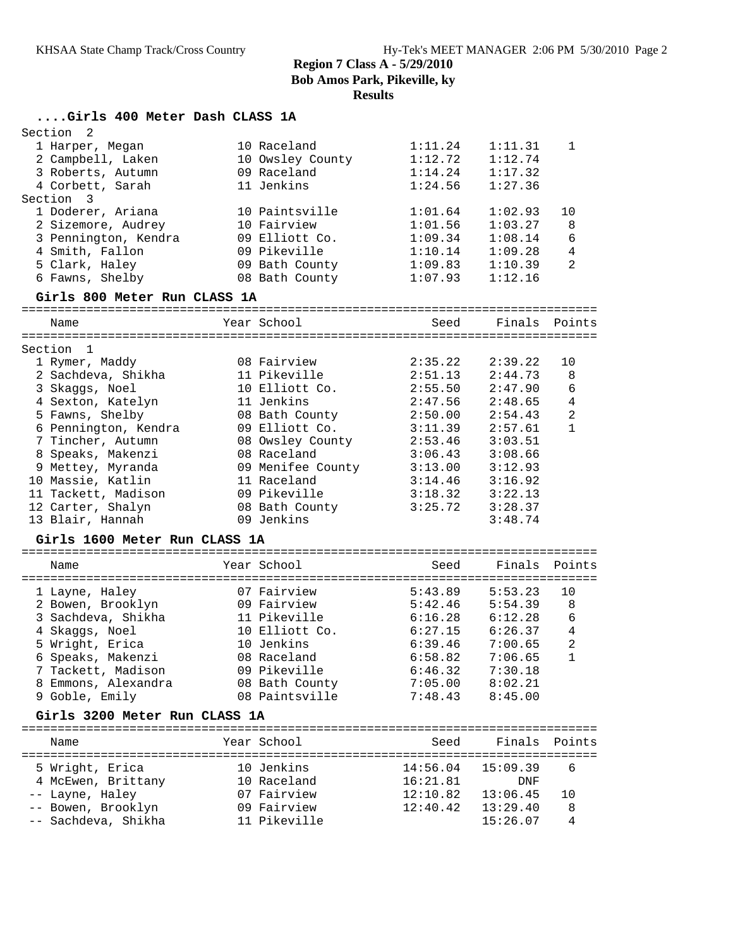### **Results**

| Girls 400 Meter Dash CLASS 1A |  |  |  |
|-------------------------------|--|--|--|

| 2<br>Section                  |                   |         |               |                |
|-------------------------------|-------------------|---------|---------------|----------------|
| 1 Harper, Megan               | 10 Raceland       | 1:11.24 | 1:11.31       | $\mathbf{1}$   |
| 2 Campbell, Laken             | 10 Owsley County  | 1:12.72 | 1:12.74       |                |
| 3 Roberts, Autumn             | 09 Raceland       | 1:14.24 | 1:17.32       |                |
| 4 Corbett, Sarah              | 11 Jenkins        | 1:24.56 | 1:27.36       |                |
| Section 3                     |                   |         |               |                |
| 1 Doderer, Ariana             | 10 Paintsville    | 1:01.64 | 1:02.93       | 10             |
| 2 Sizemore, Audrey            | 10 Fairview       | 1:01.56 | 1:03.27       | 8              |
| 3 Pennington, Kendra          | 09 Elliott Co.    | 1:09.34 | 1:08.14       | 6              |
| 4 Smith, Fallon               | 09 Pikeville      | 1:10.14 | 1:09.28       | $\overline{4}$ |
| 5 Clark, Haley                | 09 Bath County    | 1:09.83 | 1:10.39       | $\mathfrak{D}$ |
| 6 Fawns, Shelby               | 08 Bath County    | 1:07.93 | 1:12.16       |                |
| Girls 800 Meter Run CLASS 1A  |                   |         |               |                |
| Name                          | Year School       | Seed    | Finals Points |                |
|                               |                   |         |               |                |
| Section<br>$\overline{1}$     |                   |         |               |                |
| 1 Rymer, Maddy                | 08 Fairview       | 2:35.22 | 2:39.22       | 10             |
| 2 Sachdeva, Shikha            | 11 Pikeville      | 2:51.13 | 2:44.73       | 8              |
| 3 Skaggs, Noel                | 10 Elliott Co.    | 2:55.50 | 2:47.90       | 6              |
| 4 Sexton, Katelyn             | 11 Jenkins        | 2:47.56 | 2:48.65       | $\overline{4}$ |
| 5 Fawns, Shelby               | 08 Bath County    | 2:50.00 | 2:54.43       | $\overline{2}$ |
| 6 Pennington, Kendra          | 09 Elliott Co.    | 3:11.39 | 2:57.61       | $\mathbf{1}$   |
| 7 Tincher, Autumn             | 08 Owsley County  | 2:53.46 | 3:03.51       |                |
| 8 Speaks, Makenzi             | 08 Raceland       | 3:06.43 | 3:08.66       |                |
| 9 Mettey, Myranda             | 09 Menifee County | 3:13.00 | 3:12.93       |                |
| 10 Massie, Katlin             | 11 Raceland       | 3:14.46 | 3:16.92       |                |
| 11 Tackett, Madison           | 09 Pikeville      | 3:18.32 | 3:22.13       |                |
| 12 Carter, Shalyn             | 08 Bath County    | 3:25.72 | 3:28.37       |                |
| 13 Blair, Hannah              | 09 Jenkins        |         | 3:48.74       |                |
| Girls 1600 Meter Run CLASS 1A |                   |         |               |                |
| Name                          | Year School       | Seed    | Finals        | Points         |
|                               |                   |         |               |                |

| 1 Layne, Haley      | 07 Fairview    | 5:43.89 | 5:53.23 | 10 |
|---------------------|----------------|---------|---------|----|
| 2 Bowen, Brooklyn   | 09 Fairview    | 5:42.46 | 5:54.39 | 8  |
| 3 Sachdeva, Shikha  | 11 Pikeville   | 6:16.28 | 6:12.28 | 6  |
| 4 Skaqqs, Noel      | 10 Elliott Co. | 6:27.15 | 6:26.37 | 4  |
| 5 Wright, Erica     | 10 Jenkins     | 6:39.46 | 7:00.65 | -2 |
| 6 Speaks, Makenzi   | 08 Raceland    | 6:58.82 | 7:06.65 |    |
| 7 Tackett, Madison  | 09 Pikeville   | 6:46.32 | 7:30.18 |    |
| 8 Emmons, Alexandra | 08 Bath County | 7:05.00 | 8:02.21 |    |
| 9 Goble, Emily      | 08 Paintsville | 7:48.43 | 8:45.00 |    |

## **Girls 3200 Meter Run CLASS 1A**

| Name                | Year School  | Seed     | Finals Points |     |
|---------------------|--------------|----------|---------------|-----|
| 5 Wright, Erica     | 10 Jenkins   | 14:56.04 | 15:09.39      | 6   |
| 4 McEwen, Brittany  | 10 Raceland  | 16:21.81 | <b>DNF</b>    |     |
| -- Layne, Haley     | 07 Fairview  | 12:10.82 | 13:06.45      | 1 O |
| -- Bowen, Brooklyn  | 09 Fairview  | 12:40.42 | 13:29.40      | 8   |
| -- Sachdeva, Shikha | 11 Pikeville |          | 15:26.07      |     |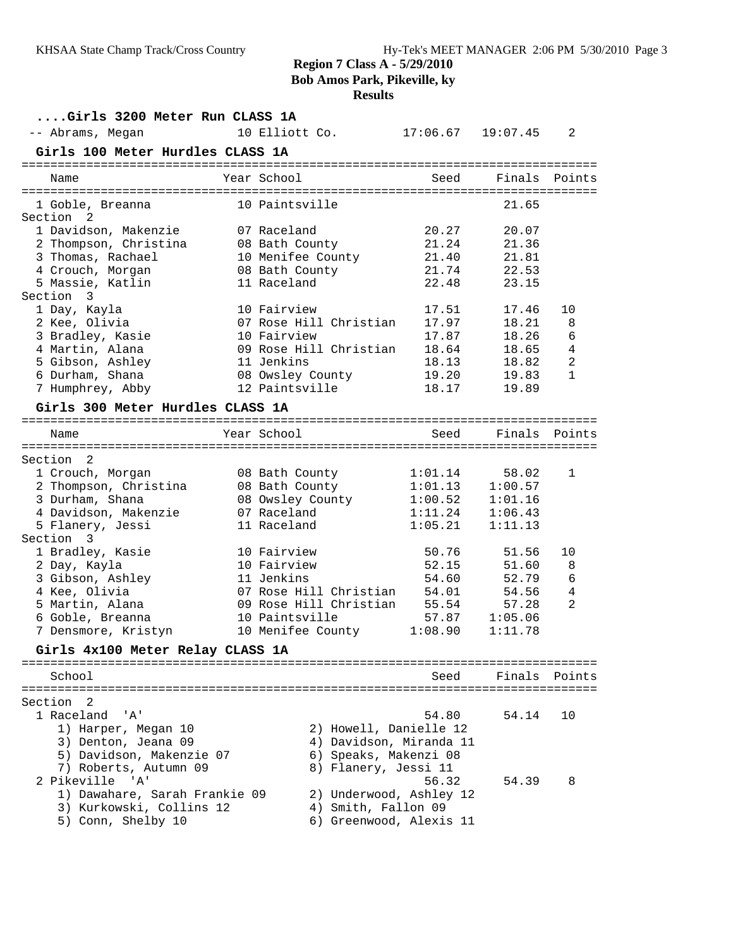# **Results**

**....Girls 3200 Meter Run CLASS 1A** -- Abrams, Megan 10 Elliott Co. 17:06.67 19:07.45 2 **Girls 100 Meter Hurdles CLASS 1A** ================================================================================ Name The Year School Seed Finals Points ================================================================================ 1 Goble, Breanna 10 Paintsville 21.65 Section 2 1 Davidson, Makenzie 07 Raceland 20.27 20.07 2 Thompson, Christina 08 Bath County 21.24 21.36 3 Thomas, Rachael 10 Menifee County 21.40 21.81 4 Crouch, Morgan 08 Bath County 21.74 22.53 5 Massie, Katlin 11 Raceland 22.48 23.15 Section 3 1 Day, Kayla 10 Fairview 17.51 17.46 10 2 Kee, Olivia 07 Rose Hill Christian 17.97 18.21 8 3 Bradley, Kasie 10 Fairview 17.87 18.26 6 4 Martin, Alana 09 Rose Hill Christian 18.64 18.65 4 5 Gibson, Ashley 11 Jenkins 18.13 18.82 2 6 Durham, Shana 08 Owsley County 19.20 19.83 1 7 Humphrey, Abby 12 Paintsville 18.17 19.89 **Girls 300 Meter Hurdles CLASS 1A** ================================================================================ Name The Year School Seed Finals Points ================================================================================ Section 2 1 Crouch, Morgan 08 Bath County 1:01.14 58.02 1 2 Thompson, Christina 08 Bath County 1:01.13 1:00.57 3 Durham, Shana 08 Owsley County 1:00.52 1:01.16 4 Davidson, Makenzie 07 Raceland 1:11.24 1:06.43 5 Flanery, Jessi 11 Raceland 1:05.21 1:11.13 Section 3 1 Bradley, Kasie 10 Fairview 50.76 51.56 10 2 Day, Kayla 10 Fairview 52.15 51.60 8 3 Gibson, Ashley 11 Jenkins 54.60 52.79 6 4 Kee, Olivia 07 Rose Hill Christian 54.01 54.56 4 5 Martin, Alana 09 Rose Hill Christian 55.54 57.28 2 6 Goble, Breanna 10 Paintsville 57.87 1:05.06 7 Densmore, Kristyn 10 Menifee County 1:08.90 1:11.78 **Girls 4x100 Meter Relay CLASS 1A** ================================================================================ School Seed Finals Points ================================================================================ Section 2<br>1 Raceland 'A' 1 Raceland 'A' 54.80 54.14 10 1) Harper, Megan 10 2) Howell, Danielle 12 3) Denton, Jeana 09 4) Davidson, Miranda 11 5) Davidson, Makenzie 07 6) Speaks, Makenzi 08 7) Roberts, Autumn 09 8) Flanery, Jessi 11 2 Pikeville 'A' 56.32 54.39 8 1) Dawahare, Sarah Frankie 09 2) Underwood, Ashley 12 3) Kurkowski, Collins 12 4) Smith, Fallon 09 5) Conn, Shelby 10 6) Greenwood, Alexis 11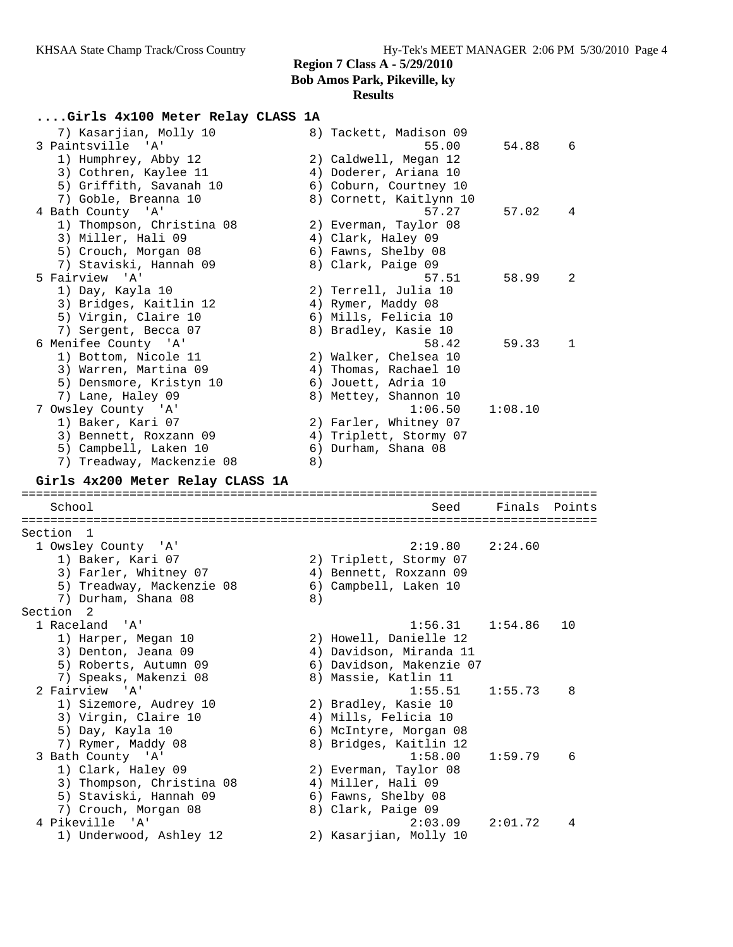#### **Results**

# **....Girls 4x100 Meter Relay CLASS 1A**

| 7) Kasarjian, Molly 10<br>3 Paintsville 'A'     |    | 8) Tackett, Madison 09<br>55.00   | 54.88   | 6      |
|-------------------------------------------------|----|-----------------------------------|---------|--------|
| 1) Humphrey, Abby 12                            |    | 2) Caldwell, Megan 12             |         |        |
| 3) Cothren, Kaylee 11                           |    | 4) Doderer, Ariana 10             |         |        |
| 5) Griffith, Savanah 10                         |    | 6) Coburn, Courtney 10            |         |        |
| 7) Goble, Breanna 10                            |    | 8) Cornett, Kaitlynn 10           |         |        |
| 4 Bath County 'A'                               |    | 57.27                             | 57.02   | 4      |
| 1) Thompson, Christina 08                       |    | 2) Everman, Taylor 08             |         |        |
| 3) Miller, Hali 09                              |    | 4) Clark, Haley 09                |         |        |
| 5) Crouch, Morgan 08                            |    | 6) Fawns, Shelby 08               |         |        |
| 7) Staviski, Hannah 09                          |    | 8) Clark, Paige 09                |         |        |
| 5 Fairview 'A'                                  |    | 57.51                             | 58.99   | 2      |
| 1) Day, Kayla 10                                |    | 2) Terrell, Julia 10              |         |        |
| 3) Bridges, Kaitlin 12                          |    | 4) Rymer, Maddy 08                |         |        |
| 5) Virgin, Claire 10                            |    | 6) Mills, Felicia 10              |         |        |
| 7) Sergent, Becca 07                            |    | 8) Bradley, Kasie 10              |         |        |
| 6 Menifee County 'A'                            |    | 58.42                             | 59.33   | 1      |
| 1) Bottom, Nicole 11                            |    | 2) Walker, Chelsea 10             |         |        |
| 3) Warren, Martina 09                           |    | 4) Thomas, Rachael 10             |         |        |
| 5) Densmore, Kristyn 10                         |    | 6) Jouett, Adria 10               |         |        |
| 7) Lane, Haley 09                               |    | 8) Mettey, Shannon 10             |         |        |
| 7 Owsley County 'A'                             |    | 1:06.50                           | 1:08.10 |        |
| 1) Baker, Kari 07                               |    | 2) Farler, Whitney 07             |         |        |
| 3) Bennett, Roxzann 09                          |    | 4) Triplett, Stormy 07            |         |        |
| 5) Campbell, Laken 10                           |    | 6) Durham, Shana 08               |         |        |
| 7) Treadway, Mackenzie 08                       | 8) |                                   |         |        |
| Girls 4x200 Meter Relay CLASS 1A                |    |                                   |         |        |
|                                                 |    |                                   |         |        |
|                                                 |    |                                   |         |        |
| School                                          |    | Seed                              | Finals  | Points |
|                                                 |    |                                   |         |        |
| Section 1                                       |    |                                   |         |        |
| 1 Owsley County 'A'                             |    | 2:19.80                           | 2:24.60 |        |
| 1) Baker, Kari 07                               |    | 2) Triplett, Stormy 07            |         |        |
| 3) Farler, Whitney 07                           |    | 4) Bennett, Roxzann 09            |         |        |
| 5) Treadway, Mackenzie 08                       |    | 6) Campbell, Laken 10             |         |        |
| 7) Durham, Shana 08                             | 8) |                                   |         |        |
| Section <sub>2</sub>                            |    |                                   |         |        |
| 1 Raceland<br>' A '                             |    | 1:56.31                           | 1:54.86 | 10     |
| 1) Harper, Megan 10                             |    | 2) Howell, Danielle 12            |         |        |
| 3) Denton, Jeana 09                             |    | 4) Davidson, Miranda 11           |         |        |
| 5) Roberts, Autumn 09                           |    | 6) Davidson, Makenzie 07          |         |        |
| 7) Speaks, Makenzi 08                           |    | 8) Massie, Katlin 11              |         |        |
| 2 Fairview 'A'                                  |    | 1:55.51                           | 1:55.73 | 8      |
| 1) Sizemore, Audrey 10                          |    | 2) Bradley, Kasie 10              |         |        |
| 3) Virgin, Claire 10                            |    | 4) Mills, Felicia 10              |         |        |
| 5) Day, Kayla 10                                |    | 6) McIntyre, Morgan 08            |         |        |
| 7) Rymer, Maddy 08                              |    | 8) Bridges, Kaitlin 12            |         |        |
| 3 Bath County 'A'                               |    | 1:58.00                           | 1:59.79 | 6      |
| 1) Clark, Haley 09                              |    | 2) Everman, Taylor 08             |         |        |
| 3) Thompson, Christina 08                       |    | 4) Miller, Hali 09                |         |        |
| 5) Staviski, Hannah 09                          |    | 6) Fawns, Shelby 08               |         |        |
| 7) Crouch, Morgan 08                            |    | 8) Clark, Paige 09                |         |        |
| 4 Pikeville<br>' A '<br>1) Underwood, Ashley 12 |    | 2:03.09<br>2) Kasarjian, Molly 10 | 2:01.72 | 4      |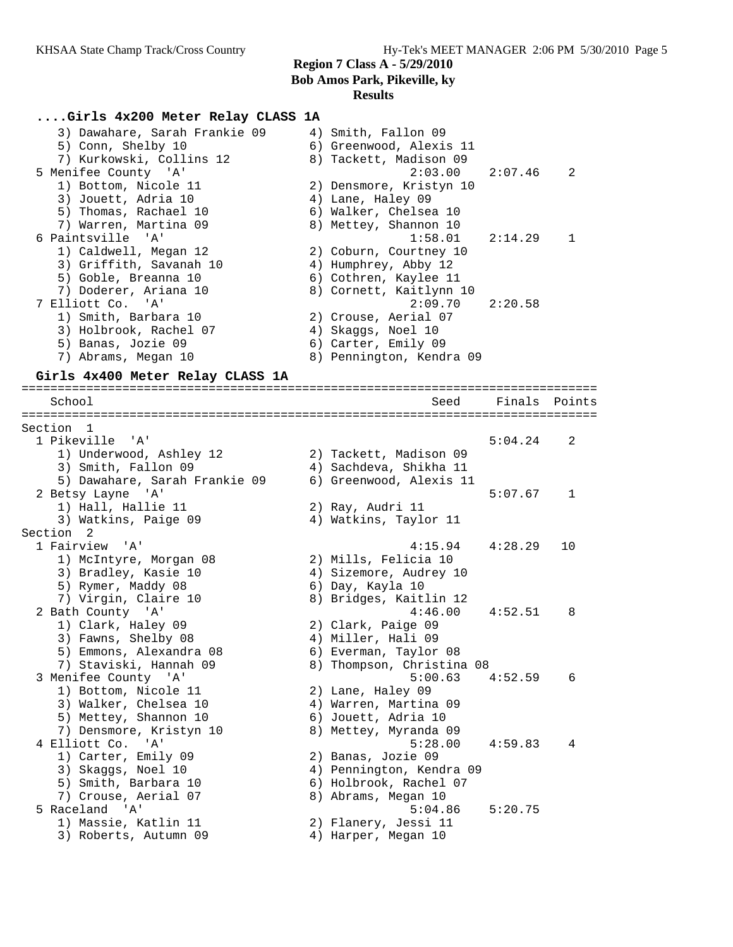#### **....Girls 4x200 Meter Relay CLASS 1A**

 3) Dawahare, Sarah Frankie 09 4) Smith, Fallon 09 5) Conn, Shelby 10 6) Greenwood, Alexis 11 7) Kurkowski, Collins 12 8) Tackett, Madison 09 5 Menifee County 'A' 2:03.00 2:07.46 2 1) Bottom, Nicole 11 2) Densmore, Kristyn 10 3) Jouett, Adria 10 (4) Anne, Haley 09 5) Thomas, Rachael 10 6) Walker, Chelsea 10 7) Warren, Martina 09 8) Mettey, Shannon 10 6 Paintsville 'A' 1:58.01 2:14.29 1 1) Caldwell, Megan 12 2) Coburn, Courtney 10 3) Griffith, Savanah 10  $\hskip1cm$  4) Humphrey, Abby 12 5) Goble, Breanna 10 6) Cothren, Kaylee 11 7) Doderer, Ariana 10 8) Cornett, Kaitlynn 10 7 Elliott Co. 'A' 2:09.70 2:20.58 1) Smith, Barbara 10 2) Crouse, Aerial 07 3) Holbrook, Rachel 07 (4) Skaggs, Noel 10 5) Banas, Jozie 09 (6) Carter, Emily 09 7) Abrams, Megan 10 8) Pennington, Kendra 09

#### **Girls 4x400 Meter Relay CLASS 1A**

================================================================================ School Seed Finals Points ================================================================================ Section 1<br>1 Pikeville 'A' 1 Pikeville 'A' 5:04.24 2 1) Underwood, Ashley 12 2) Tackett, Madison 09 3) Smith, Fallon 09 4) Sachdeva, Shikha 11 5) Dawahare, Sarah Frankie 09 6) Greenwood, Alexis 11 2 Betsy Layne 'A' 5:07.67 1 1) Hall, Hallie 11 (2) Ray, Audri 11 3) Watkins, Paige 09 4) Watkins, Taylor 11 Section 2<br>1 Fairview 'A' 1 Fairview 'A' 4:15.94 4:28.29 10 1) McIntyre, Morgan 08 2) Mills, Felicia 10 3) Bradley, Kasie 10 4) Sizemore, Audrey 10 5) Rymer, Maddy 08 6) Day, Kayla 10 7) Virgin, Claire 10 8) Bridges, Kaitlin 12 2 Bath County 'A' 4:46.00 4:52.51 8 1) Clark, Haley 09 2) Clark, Paige 09 3) Fawns, Shelby 08 4) Miller, Hali 09 5) Emmons, Alexandra 08 6) Everman, Taylor 08 7) Staviski, Hannah 09 8) Thompson, Christina 08 3 Menifee County 'A' 5:00.63 4:52.59 6 1) Bottom, Nicole 11 2) Lane, Haley 09 3) Walker, Chelsea 10 4) Warren, Martina 09 5) Mettey, Shannon 10 6) Jouett, Adria 10 7) Densmore, Kristyn 10 8) Mettey, Myranda 09 4 Elliott Co. 'A' 5:28.00 4:59.83 4 1) Carter, Emily 09 2) Banas, Jozie 09 3) Skaggs, Noel 10 4) Pennington, Kendra 09 5) Smith, Barbara 10 6) Holbrook, Rachel 07 7) Crouse, Aerial 07 8) Abrams, Megan 10 5 Raceland 'A' 5:04.86 5:20.75 1) Massie, Katlin 11 2) Flanery, Jessi 11 1) Massie, Katlin 11 (2) Flanery, Jessi 11<br>3) Roberts, Autumn 09 (4) Harper, Megan 10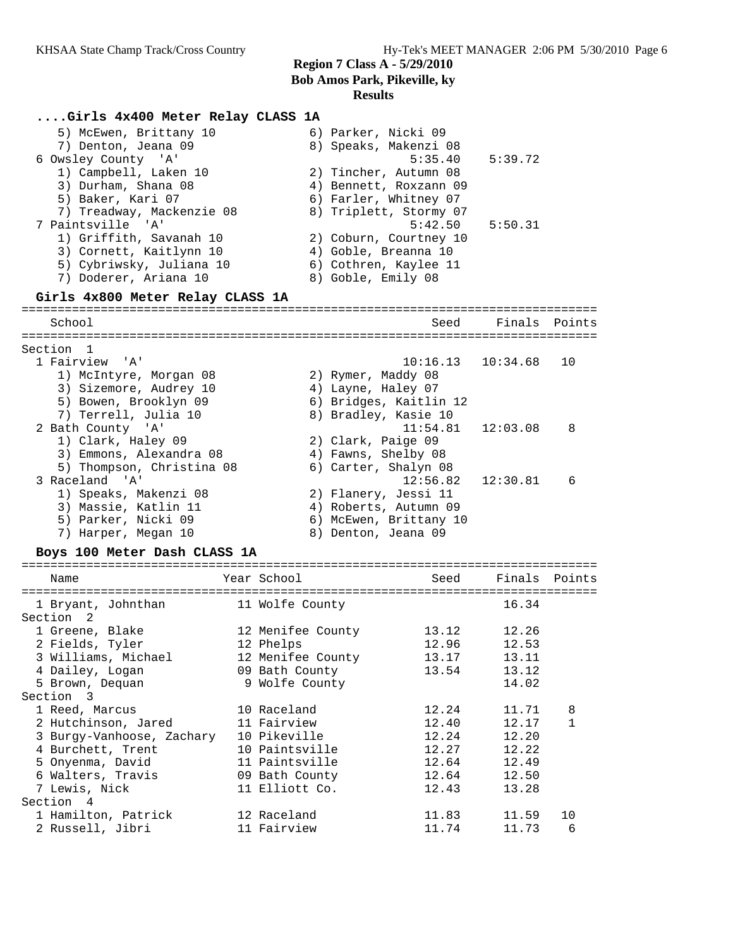# **....Girls 4x400 Meter Relay CLASS 1A**

| 5) McEwen, Brittany 10<br>7) Denton, Jeana 09<br>6 Owsley County 'A'<br>1) Campbell, Laken 10<br>3) Durham, Shana 08<br>5) Baker, Kari 07<br>7) Treadway, Mackenzie 08<br>7 Paintsville 'A'<br>1) Griffith, Savanah 10<br>3) Cornett, Kaitlynn 10<br>5) Cybriwsky, Juliana 10<br>7) Doderer, Ariana 10 | 6) Parker, Nicki 09<br>8) Speaks, Makenzi 08<br>5:35.40<br>2) Tincher, Autumn 08<br>4) Bennett, Roxzann 09<br>6) Farler, Whitney 07<br>8) Triplett, Stormy 07<br>5:42.50<br>2) Coburn, Courtney 10<br>4) Goble, Breanna 10<br>6) Cothren, Kaylee 11<br>8) Goble, Emily 08 | 5:39.72<br>5:50.31 |    |
|--------------------------------------------------------------------------------------------------------------------------------------------------------------------------------------------------------------------------------------------------------------------------------------------------------|---------------------------------------------------------------------------------------------------------------------------------------------------------------------------------------------------------------------------------------------------------------------------|--------------------|----|
| Girls 4x800 Meter Relay CLASS 1A                                                                                                                                                                                                                                                                       |                                                                                                                                                                                                                                                                           |                    |    |
|                                                                                                                                                                                                                                                                                                        |                                                                                                                                                                                                                                                                           |                    |    |
| School                                                                                                                                                                                                                                                                                                 | Seed                                                                                                                                                                                                                                                                      | Finals Points      |    |
| =================                                                                                                                                                                                                                                                                                      | ===========================                                                                                                                                                                                                                                               |                    |    |
| Section 1                                                                                                                                                                                                                                                                                              |                                                                                                                                                                                                                                                                           |                    |    |
| 1 Fairview 'A'                                                                                                                                                                                                                                                                                         | 10:16.13                                                                                                                                                                                                                                                                  | 10:34.68           | 10 |
| 1) McIntyre, Morgan 08                                                                                                                                                                                                                                                                                 | 2) Rymer, Maddy 08                                                                                                                                                                                                                                                        |                    |    |
| 3) Sizemore, Audrey 10                                                                                                                                                                                                                                                                                 | 4) Layne, Haley 07                                                                                                                                                                                                                                                        |                    |    |
| 5) Bowen, Brooklyn 09                                                                                                                                                                                                                                                                                  | 6) Bridges, Kaitlin 12                                                                                                                                                                                                                                                    |                    |    |
| 7) Terrell, Julia 10                                                                                                                                                                                                                                                                                   | 8) Bradley, Kasie 10                                                                                                                                                                                                                                                      |                    |    |
| 2 Bath County 'A'                                                                                                                                                                                                                                                                                      | 11:54.81                                                                                                                                                                                                                                                                  | 12:03.08           | 8  |
| 1) Clark, Haley 09                                                                                                                                                                                                                                                                                     | 2) Clark, Paige 09                                                                                                                                                                                                                                                        |                    |    |
| 3) Emmons, Alexandra 08                                                                                                                                                                                                                                                                                | 4) Fawns, Shelby 08                                                                                                                                                                                                                                                       |                    |    |
| 5) Thompson, Christina 08                                                                                                                                                                                                                                                                              | 6) Carter, Shalyn 08                                                                                                                                                                                                                                                      |                    |    |
| 3 Raceland 'A'                                                                                                                                                                                                                                                                                         | 12:56.82                                                                                                                                                                                                                                                                  | 12:30.81           | 6  |

| 1) Speaks, Makenzi 08 | 2) Flanery, Jessi 11   |
|-----------------------|------------------------|
| 3) Massie, Katlin 11  | 4) Roberts, Autumn 09  |
| 5) Parker, Nicki 09   | 6) McEwen, Brittany 10 |
| 7) Harper, Megan 10   | 8) Denton, Jeana 09    |

# **Boys 100 Meter Dash CLASS 1A**

| Name                      | Year School       | Seed  | Finals Points |              |
|---------------------------|-------------------|-------|---------------|--------------|
|                           |                   |       |               |              |
| 1 Bryant, Johnthan        | 11 Wolfe County   |       | 16.34         |              |
| Section <sub>2</sub>      |                   |       |               |              |
| 1 Greene, Blake           | 12 Menifee County | 13.12 | 12.26         |              |
| 2 Fields, Tyler           | 12 Phelps         | 12.96 | 12.53         |              |
| 3 Williams, Michael       | 12 Menifee County | 13.17 | 13.11         |              |
| 4 Dailey, Logan           | 09 Bath County    | 13.54 | 13.12         |              |
| 5 Brown, Dequan           | 9 Wolfe County    |       | 14.02         |              |
| Section 3                 |                   |       |               |              |
| 1 Reed, Marcus            | 10 Raceland       | 12.24 | 11.71         | 8            |
| 2 Hutchinson, Jared       | 11 Fairview       | 12.40 | 12.17         | $\mathbf{1}$ |
| 3 Burgy-Vanhoose, Zachary | 10 Pikeville      | 12.24 | 12.20         |              |
| 4 Burchett, Trent         | 10 Paintsville    | 12.27 | 12.22         |              |
| 5 Onyenma, David          | 11 Paintsville    | 12.64 | 12.49         |              |
| 6 Walters, Travis         | 09 Bath County    | 12.64 | 12.50         |              |
| 7 Lewis, Nick             | 11 Elliott Co.    | 12.43 | 13.28         |              |
| Section 4                 |                   |       |               |              |
| 1 Hamilton, Patrick       | 12 Raceland       | 11.83 | 11.59         | 10           |
| 2 Russell, Jibri          | 11 Fairview       | 11.74 | 11.73         | 6            |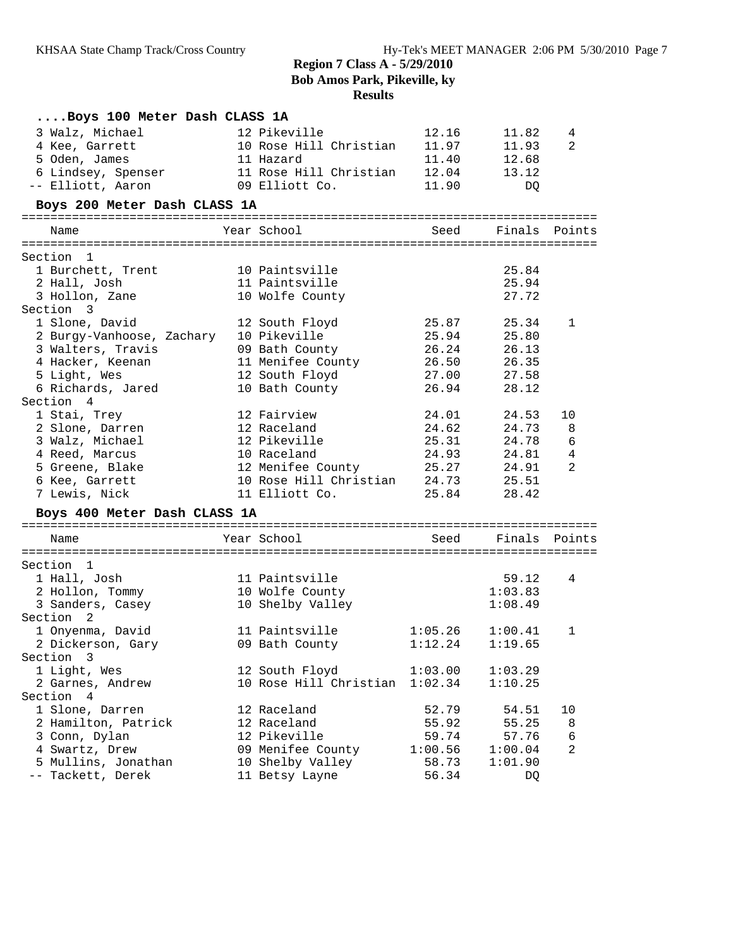| Boys 100 Meter Dash CLASS 1A |                                     |         |               |    |
|------------------------------|-------------------------------------|---------|---------------|----|
| 3 Walz, Michael              | 12 Pikeville                        | 12.16   | 11.82         | 4  |
| 4 Kee, Garrett               | 10 Rose Hill Christian              | 11.97   | 11.93         | 2  |
| 5 Oden, James                | 11 Hazard                           | 11.40   | 12.68         |    |
| 6 Lindsey, Spenser           | 11 Rose Hill Christian              | 12.04   | 13.12         |    |
| -- Elliott, Aaron            | 09 Elliott Co.                      | 11.90   | DQ            |    |
| Boys 200 Meter Dash CLASS 1A |                                     |         |               |    |
| Name                         | Year School                         | Seed    | Finals Points |    |
| Section 1                    |                                     |         |               |    |
| 1 Burchett, Trent            | 10 Paintsville                      |         | 25.84         |    |
| 2 Hall, Josh                 | 11 Paintsville                      |         | 25.94         |    |
| 3 Hollon, Zane               | 10 Wolfe County                     |         | 27.72         |    |
| Section 3                    |                                     |         |               |    |
| 1 Slone, David               | 12 South Floyd                      |         | 25.87 25.34   | 1  |
| 2 Burgy-Vanhoose, Zachary    | 10 Pikeville                        | 25.94   | 25.80         |    |
| 3 Walters, Travis            | 09 Bath County                      | 26.24   | 26.13         |    |
| 4 Hacker, Keenan             |                                     | 26.50   | 26.35         |    |
| 5 Light, Wes                 | 11 Menifee County<br>12 South Floyd | 27.00   | 27.58         |    |
| 6 Richards, Jared            | 10 Bath County                      | 26.94   | 28.12         |    |
| Section 4                    |                                     |         |               |    |
| 1 Stai, Trey                 | 12 Fairview                         | 24.01   | 24.53         | 10 |
| 2 Slone, Darren              | 12 Raceland                         | 24.62   | 24.73         | 8  |
| 3 Walz, Michael              | 12 Pikeville                        | 25.31   | 24.78         | 6  |
| 4 Reed, Marcus               | 10 Raceland                         | 24.93   | 24.81         | 4  |
| 5 Greene, Blake              | 12 Menifee County                   | 25.27   | 24.91         | 2  |
| 6 Kee, Garrett               | 10 Rose Hill Christian 24.73 25.51  |         |               |    |
| 7 Lewis, Nick                | 11 Elliott Co.                      |         | 25.84 28.42   |    |
| Boys 400 Meter Dash CLASS 1A |                                     |         |               |    |
|                              |                                     |         |               |    |
| Name                         | Year School                         | Seed    | Finals Points |    |
| Section 1                    |                                     |         |               |    |
| 1 Hall, Josh                 | 11 Paintsville                      |         | 59.12         | 4  |
| 2 Hollon, Tommy              | 10 Wolfe County                     |         | 1:03.83       |    |
| 3 Sanders, Casey             | 10 Shelby Valley                    |         | 1:08.49       |    |
| Section 2                    |                                     |         |               |    |
| 1 Onyenma, David             | 11 Paintsville                      | 1:05.26 | 1:00.41       | 1  |
| 2 Dickerson, Gary            | 09 Bath County                      | 1:12.24 | 1:19.65       |    |
| Section 3                    |                                     |         |               |    |
| 1 Light, Wes                 | 12 South Floyd                      | 1:03.00 | 1:03.29       |    |
| 2 Garnes, Andrew             | 10 Rose Hill Christian              | 1:02.34 | 1:10.25       |    |
| Section 4                    |                                     |         |               |    |
| 1 Slone, Darren              | 12 Raceland                         | 52.79   | 54.51         | 10 |
| 2 Hamilton, Patrick          | 12 Raceland                         | 55.92   | 55.25         | 8  |
| 3 Conn, Dylan                | 12 Pikeville                        | 59.74   | 57.76         | 6  |
| 4 Swartz, Drew               | 09 Menifee County                   | 1:00.56 | 1:00.04       | 2  |
| 5 Mullins, Jonathan          | 10 Shelby Valley                    | 58.73   | 1:01.90       |    |
| -- Tackett, Derek            | 11 Betsy Layne                      | 56.34   | DQ            |    |
|                              |                                     |         |               |    |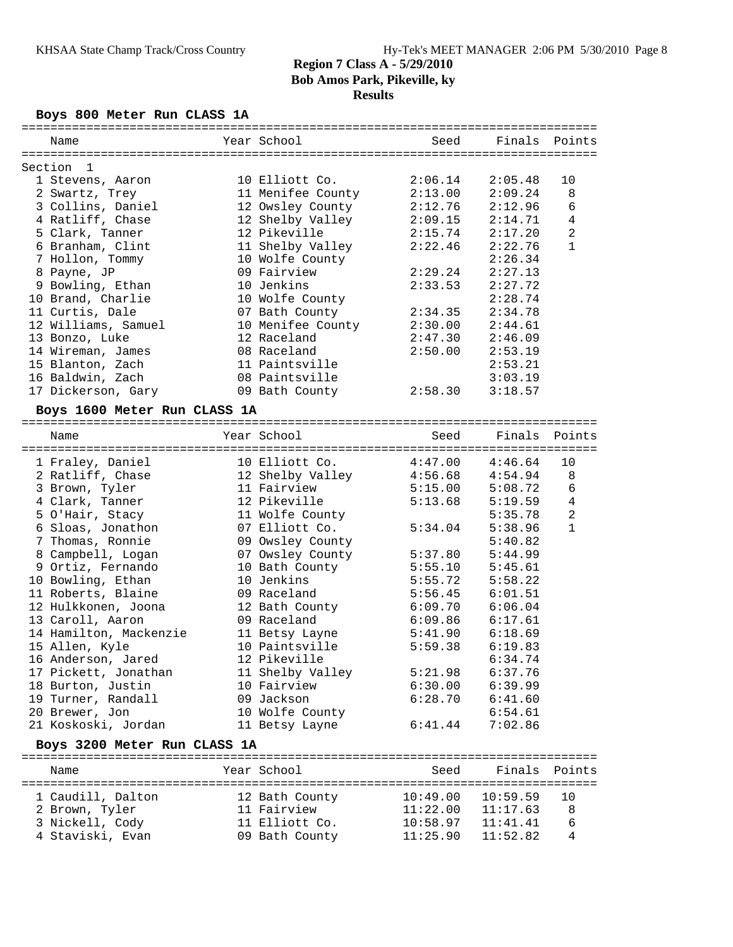# **Boys 800 Meter Run CLASS 1A**

| Name                                   | Year School                        | Seed     | Finals             | Points                           |
|----------------------------------------|------------------------------------|----------|--------------------|----------------------------------|
|                                        |                                    |          |                    |                                  |
| Section<br>1<br>1 Stevens, Aaron       | 10 Elliott Co.                     | 2:06.14  | 2:05.48            | 10                               |
| 2 Swartz, Trey                         | 11 Menifee County                  | 2:13.00  | 2:09.24            | 8                                |
| 3 Collins, Daniel                      | 12 Owsley County                   | 2:12.76  | 2:12.96            | 6                                |
| 4 Ratliff, Chase                       | 12 Shelby Valley                   | 2:09.15  | 2:14.71            | 4                                |
| 5 Clark, Tanner                        | 12 Pikeville                       | 2:15.74  | 2:17.20            | 2                                |
| 6 Branham, Clint                       | 11 Shelby Valley                   | 2:22.46  | 2:22.76            | $\mathbf{1}$                     |
| 7 Hollon, Tommy                        | 10 Wolfe County                    |          | 2:26.34            |                                  |
| 8 Payne, JP                            | 09 Fairview                        | 2:29.24  | 2:27.13            |                                  |
| 9 Bowling, Ethan                       | 10 Jenkins                         | 2:33.53  | 2:27.72            |                                  |
| 10 Brand, Charlie                      | 10 Wolfe County                    |          | 2:28.74            |                                  |
| 11 Curtis, Dale                        | 07 Bath County                     | 2:34.35  | 2:34.78            |                                  |
| 12 Williams, Samuel                    | 10 Menifee County                  | 2:30.00  | 2:44.61            |                                  |
| 13 Bonzo, Luke                         | 12 Raceland                        | 2:47.30  | 2:46.09            |                                  |
| 14 Wireman, James                      | 08 Raceland                        | 2:50.00  | 2:53.19            |                                  |
| 15 Blanton, Zach                       | 11 Paintsville                     |          | 2:53.21            |                                  |
| 16 Baldwin, Zach                       | 08 Paintsville                     |          | 3:03.19            |                                  |
| 17 Dickerson, Gary                     | 09 Bath County                     | 2:58.30  | 3:18.57            |                                  |
| Boys 1600 Meter Run CLASS 1A           |                                    |          |                    |                                  |
|                                        |                                    |          |                    |                                  |
| Name                                   | Year School                        | Seed     | Finals             | Points                           |
|                                        |                                    |          |                    |                                  |
| 1 Fraley, Daniel                       | 10 Elliott Co.                     | 4:47.00  | 4:46.64            | 10                               |
| 2 Ratliff, Chase                       | 12 Shelby Valley                   | 4:56.68  | 4:54.94            | 8                                |
| 3 Brown, Tyler                         | 11 Fairview                        | 5:15.00  | 5:08.72            | 6                                |
| 4 Clark, Tanner                        | 12 Pikeville                       | 5:13.68  | 5:19.59            | $\overline{4}$<br>$\overline{a}$ |
| 5 O'Hair, Stacy                        | 11 Wolfe County                    | 5:34.04  | 5:35.78            | $\mathbf{1}$                     |
| 6 Sloas, Jonathon                      | 07 Elliott Co.                     |          | 5:38.96            |                                  |
| 7 Thomas, Ronnie                       | 09 Owsley County                   | 5:37.80  | 5:40.82            |                                  |
| 8 Campbell, Logan<br>9 Ortiz, Fernando | 07 Owsley County<br>10 Bath County | 5:55.10  | 5:44.99<br>5:45.61 |                                  |
| 10 Bowling, Ethan                      | 10 Jenkins                         | 5:55.72  | 5:58.22            |                                  |
| 11 Roberts, Blaine                     | 09 Raceland                        | 5:56.45  | 6:01.51            |                                  |
| 12 Hulkkonen, Joona                    | 12 Bath County                     | 6:09.70  | 6:06.04            |                                  |
| 13 Caroll, Aaron                       | 09 Raceland                        | 6:09.86  | 6:17.61            |                                  |
| 14 Hamilton, Mackenzie                 | 11 Betsy Layne                     | 5:41.90  | 6:18.69            |                                  |
| 15 Allen, Kyle                         | 10 Paintsville                     | 5:59.38  | 6:19.83            |                                  |
| 16 Anderson, Jared                     | 12 Pikeville                       |          | 6:34.74            |                                  |
| 17 Pickett, Jonathan                   | 11 Shelby Valley                   | 5:21.98  | 6:37.76            |                                  |
| 18 Burton, Justin                      | 10 Fairview                        | 6:30.00  | 6:39.99            |                                  |
| 19 Turner, Randall                     | 09 Jackson                         | 6:28.70  | 6:41.60            |                                  |
| 20 Brewer, Jon                         | 10 Wolfe County                    |          | 6:54.61            |                                  |
| 21 Koskoski, Jordan                    | 11 Betsy Layne                     | 6:41.44  | 7:02.86            |                                  |
| Boys 3200 Meter Run CLASS 1A           |                                    |          |                    |                                  |
|                                        |                                    |          |                    |                                  |
| Name                                   | Year School                        | Seed     | Finals             | Points                           |
|                                        |                                    |          |                    |                                  |
| 1 Caudill, Dalton                      | 12 Bath County                     | 10:49.00 | 10:59.59           | 10                               |
| 2 Brown, Tyler                         | 11 Fairview                        | 11:22.00 | 11:17.63           | 8                                |
| 3 Nickell, Cody                        | 11 Elliott Co.                     | 10:58.97 | 11:41.41           | 6                                |
| 4 Staviski, Evan                       | 09 Bath County                     | 11:25.90 | 11:52.82           | 4                                |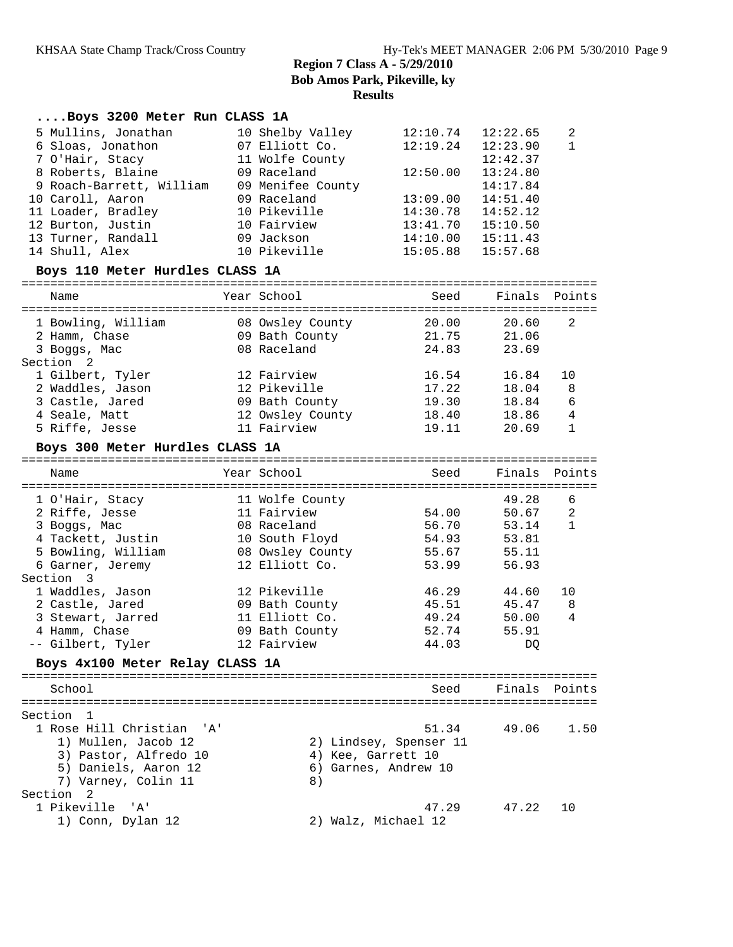|             | Boys 3200 Meter Run CLASS 1A    |                                 |                        |                |                                |
|-------------|---------------------------------|---------------------------------|------------------------|----------------|--------------------------------|
|             | 5 Mullins, Jonathan             | 10 Shelby Valley                | 12:10.74               | 12:22.65       | 2                              |
|             | 6 Sloas, Jonathon               | 07 Elliott Co.                  | 12:19.24               | 12:23.90       | $\mathbf{1}$                   |
|             | 7 O'Hair, Stacy                 | 11 Wolfe County                 |                        | 12:42.37       |                                |
|             | 8 Roberts, Blaine               | 09 Raceland                     | 12:50.00               | 13:24.80       |                                |
|             | 9 Roach-Barrett, William        | 09 Menifee County               |                        | 14:17.84       |                                |
|             | 10 Caroll, Aaron                | 09 Raceland                     | 13:09.00               | 14:51.40       |                                |
|             | 11 Loader, Bradley              | 10 Pikeville                    | 14:30.78               | 14:52.12       |                                |
|             | 12 Burton, Justin               | 10 Fairview                     | 13:41.70               | 15:10.50       |                                |
|             | 13 Turner, Randall              | 09 Jackson                      | 14:10.00               | 15:11.43       |                                |
|             | 14 Shull, Alex                  | 10 Pikeville                    | 15:05.88               | 15:57.68       |                                |
|             | Boys 110 Meter Hurdles CLASS 1A |                                 |                        |                |                                |
|             |                                 | Year School                     |                        |                |                                |
| Name        |                                 |                                 | Seed                   | Finals         | Points                         |
|             | 1 Bowling, William              | 08 Owsley County                | 20.00                  | 20.60          | 2                              |
|             | 2 Hamm, Chase                   | 09 Bath County                  | 21.75                  | 21.06          |                                |
|             | 3 Boggs, Mac                    | 08 Raceland                     | 24.83                  | 23.69          |                                |
| Section 2   | 1 Gilbert, Tyler                | 12 Fairview                     |                        | 16.84          | 10                             |
|             |                                 |                                 | 16.54                  |                | 8                              |
|             | 2 Waddles, Jason                | 12 Pikeville                    | 17.22                  | 18.04<br>18.84 |                                |
|             | 3 Castle, Jared                 | 09 Bath County                  | 19.30                  |                | 6                              |
|             | 4 Seale, Matt<br>5 Riffe, Jesse | 12 Owsley County<br>11 Fairview | 18.40<br>19.11         | 18.86<br>20.69 | $\overline{4}$<br>$\mathbf{1}$ |
|             |                                 |                                 |                        |                |                                |
|             | Boys 300 Meter Hurdles CLASS 1A |                                 |                        |                |                                |
| Name        |                                 | Year School                     | Seed                   | Finals         | Points                         |
|             |                                 |                                 |                        |                |                                |
|             | 1 O'Hair, Stacy                 | 11 Wolfe County                 |                        | 49.28          | 6                              |
|             | 2 Riffe, Jesse                  | 11 Fairview                     | 54.00                  | 50.67          | 2                              |
|             | 3 Boggs, Mac                    | 08 Raceland                     | 56.70                  | 53.14          | $\mathbf{1}$                   |
|             | 4 Tackett, Justin               | 10 South Floyd                  | 54.93                  | 53.81          |                                |
|             | 5 Bowling, William              | 08 Owsley County                | 55.67                  | 55.11          |                                |
|             | 6 Garner, Jeremy                | 12 Elliott Co.                  | 53.99                  | 56.93          |                                |
| Section 3   |                                 |                                 |                        |                |                                |
|             | 1 Waddles, Jason                | 12 Pikeville                    | 46.29                  | 44.60          | 10                             |
|             | 2 Castle, Jared                 | 09 Bath County                  | 45.51                  | 45.47          | 8                              |
|             | 3 Stewart, Jarred               | 11 Elliott Co.                  | 49.24                  | 50.00          | 4                              |
|             | 4 Hamm, Chase                   | 09 Bath County                  | 52.74                  | 55.91          |                                |
|             | -- Gilbert, Tyler               | 12 Fairview                     | 44.03                  | DQ             |                                |
|             | Boys 4x100 Meter Relay CLASS 1A |                                 |                        |                |                                |
| School      |                                 |                                 | Seed                   | Finals Points  |                                |
|             |                                 |                                 |                        |                |                                |
| Section     | 1                               |                                 |                        |                |                                |
|             | 1 Rose Hill Christian<br>'A'    |                                 | 51.34                  | 49.06          | 1.50                           |
|             | 1) Mullen, Jacob 12             |                                 | 2) Lindsey, Spenser 11 |                |                                |
|             | 3) Pastor, Alfredo 10           | 4) Kee, Garrett 10              |                        |                |                                |
|             | 5) Daniels, Aaron 12            |                                 | 6) Garnes, Andrew 10   |                |                                |
|             | 7) Varney, Colin 11             | 8)                              |                        |                |                                |
| Section     | 2                               |                                 |                        |                |                                |
| 1 Pikeville | 'A'                             |                                 | 47.29                  | 47.22          | 10                             |
|             | 1) Conn, Dylan 12               | 2) Walz, Michael 12             |                        |                |                                |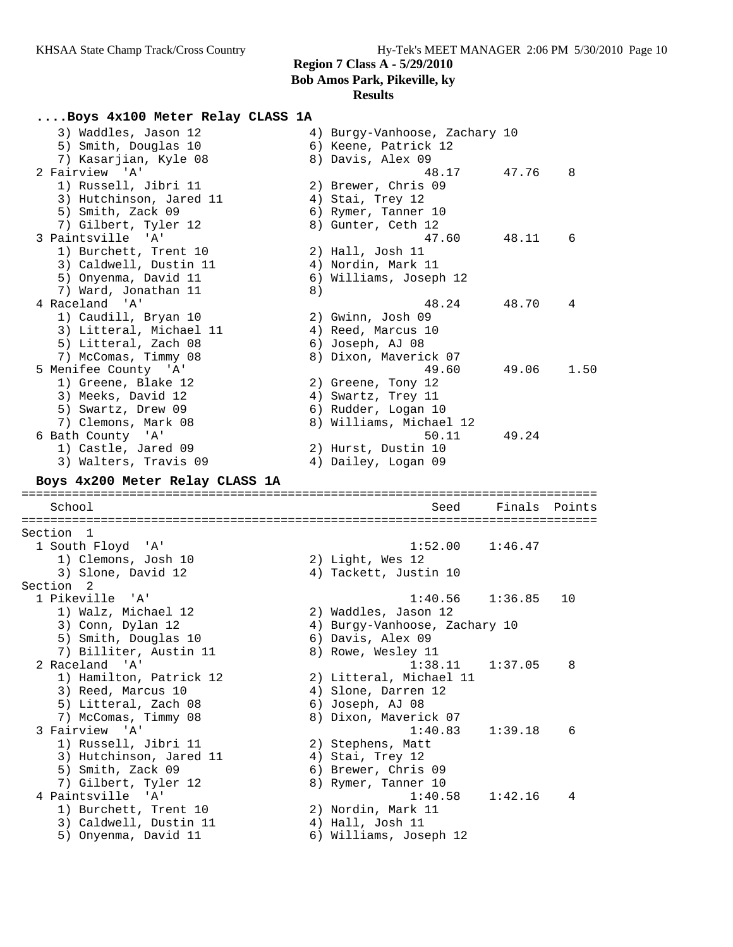# **Region 7 Class A - 5/29/2010**

**Bob Amos Park, Pikeville, ky**

## **Results**

**....Boys 4x100 Meter Relay CLASS 1A** 3) Waddles, Jason 12 4) Burgy-Vanhoose, Zachary 10 5) Smith, Douglas 10 (6) Keene, Patrick 12 7) Kasarjian, Kyle 08 8) Davis, Alex 09 2 Fairview 'A' 48.17 47.76 8 1) Russell, Jibri 11 2) Brewer, Chris 09 3) Hutchinson, Jared 11 (4) Stai, Trey 12 5) Smith, Zack 09 6) Rymer, Tanner 10 7) Gilbert, Tyler 12 (8) Gunter, Ceth 12 3 Paintsville 'A' 47.60 48.11 6 1) Burchett, Trent 10 2) Hall, Josh 11 3) Caldwell, Dustin 11 (4) Nordin, Mark 11 5) Onyenma, David 11 6) Williams, Joseph 12 7) Ward, Jonathan 11 and 8) 4 Raceland 'A' 48.24 48.70 4 1) Caudill, Bryan 10 2) Gwinn, Josh 09 3) Litteral, Michael 11 (4) Reed, Marcus 10 5) Litteral, Zach 08 6) Joseph, AJ 08 7) McComas, Timmy 08 8) Dixon, Maverick 07 5 Menifee County 'A' 49.60 49.06 1.50 1) Greene, Blake 12 2) Greene, Tony 12 3) Meeks, David 12 (4) Swartz, Trey 11 5) Swartz, Drew 09 6) Rudder, Logan 10 7) Clemons, Mark 08 8) Williams, Michael 12 6 Bath County 'A' 50.11 49.24 1) Castle, Jared 09 2) Hurst, Dustin 10 3) Walters, Travis 09 (4) Dailey, Logan 09 **Boys 4x200 Meter Relay CLASS 1A** ================================================================================ School Seed Finals Points ================================================================================ Section 1 1 South Floyd 'A' 1:52.00 1:46.47 1) Clemons, Josh 10 2) Light, Wes 12 3) Slone, David 12 4) Tackett, Justin 10 Section 2<br>1 Pikeville 'A' 1 Pikeville 'A' 1:40.56 1:36.85 10 1) Walz, Michael 12 2) Waddles, Jason 12 3) Conn, Dylan 12 4) Burgy-Vanhoose, Zachary 10 5) Smith, Douglas 10 (6) Davis, Alex 09 7) Billiter, Austin 11 and 8) Rowe, Wesley 11 2 Raceland 'A' 1:38.11 1:37.05 8 1) Hamilton, Patrick 12 2) Litteral, Michael 11 3) Reed, Marcus 10 4) Slone, Darren 12 5) Litteral, Zach 08 6) Joseph, AJ 08 7) McComas, Timmy 08 8) Dixon, Maverick 07 3 Fairview 'A' 1:40.83 1:39.18 6 1) Russell, Jibri 11 (2) Stephens, Matt 3) Hutchinson, Jared 11  $\hskip10mm 4$ ) Stai, Trey 12 5) Smith, Zack 09 6) Brewer, Chris 09 7) Gilbert, Tyler 12 and 8) Rymer, Tanner 10 4 Paintsville 'A' 1:40.58 1:42.16 4 1) Burchett, Trent 10 2) Nordin, Mark 11 3) Caldwell, Dustin 11 (4) Hall, Josh 11 5) Onyenma, David 11 6) Williams, Joseph 12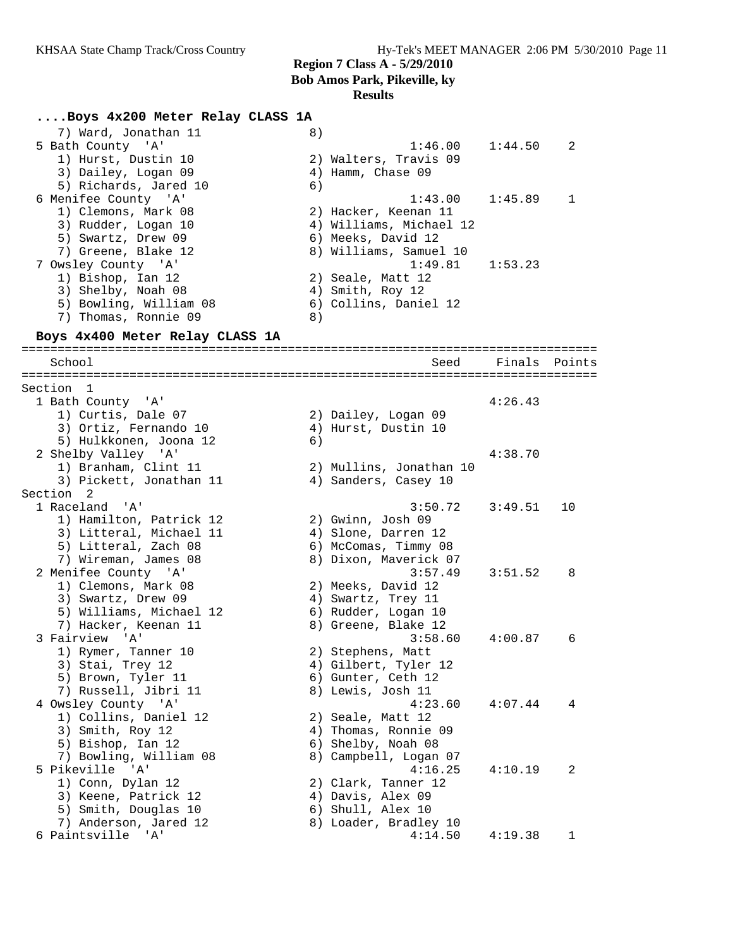#### **Results**

#### **....Boys 4x200 Meter Relay CLASS 1A**

| 7) Ward, Jonathan 11            | 8) |                         |        |        |
|---------------------------------|----|-------------------------|--------|--------|
| 5 Bath County 'A'               |    | $1:46.00$ $1:44.50$     |        | 2      |
| 1) Hurst, Dustin 10             |    | 2) Walters, Travis 09   |        |        |
| 3) Dailey, Logan 09             |    | 4) Hamm, Chase 09       |        |        |
| 5) Richards, Jared 10           | 6) |                         |        |        |
| 6 Menifee County 'A'            |    | $1:43.00$ $1:45.89$     |        |        |
| 1) Clemons, Mark 08             |    | 2) Hacker, Keenan 11    |        |        |
| 3) Rudder, Logan 10             |    | 4) Williams, Michael 12 |        |        |
| 5) Swartz, Drew 09              |    | 6) Meeks, David 12      |        |        |
| 7) Greene, Blake 12             |    | 8) Williams, Samuel 10  |        |        |
| 7 Owsley County 'A'             |    | $1:49.81$ $1:53.23$     |        |        |
| 1) Bishop, Ian 12               |    | 2) Seale, Matt 12       |        |        |
| 3) Shelby, Noah 08              | 4) | Smith, Roy 12           |        |        |
| 5) Bowling, William 08          |    | 6) Collins, Daniel 12   |        |        |
| 7) Thomas, Ronnie 09            | 8) |                         |        |        |
| Boys 4x400 Meter Relay CLASS 1A |    |                         |        |        |
|                                 |    |                         |        |        |
| School                          |    | Seed                    | Finals | Points |

================================================================================ Section 1<br>1 Bath County 'A' 1 Bath County 'A' 4:26.43 1) Curtis, Dale 07 2) Dailey, Logan 09 3) Ortiz, Fernando 10 (4) Hurst, Dustin 10 5) Hulkkonen, Joona 12 6) 2 Shelby Valley 'A' 4:38.70 1) Branham, Clint 11 2) Mullins, Jonathan 10 3) Pickett, Jonathan 11  $\qquad \qquad \qquad$  4) Sanders, Casey 10 Section 2 1 Raceland 'A' 3:50.72 3:49.51 10 1) Hamilton, Patrick 12 2) Gwinn, Josh 09 3) Litteral, Michael 11 4) Slone, Darren 12 5) Litteral, Zach 08 6) McComas, Timmy 08 7) Wireman, James 08 8) Dixon, Maverick 07 2 Menifee County 'A' 3:57.49 3:51.52 8 1) Clemons, Mark 08 2) Meeks, David 12 3) Swartz, Drew 09 (4) Swartz, Trey 11 5) Williams, Michael 12 6) Rudder, Logan 10 7) Hacker, Keenan 11  $\hphantom{\text{2.65}$  8) Greene, Blake 12 3 Fairview 'A' 3:58.60 4:00.87 6 1) Rymer, Tanner 10 2) Stephens, Matt 3) Stai, Trey 12 (4) Gilbert, Tyler 12 5) Brown, Tyler 11 6) Gunter, Ceth 12 7) Russell, Jibri 11 and 8) Lewis, Josh 11 4 Owsley County 'A' 4:23.60 4:07.44 4 1) Collins, Daniel 12 and 2) Seale, Matt 12 3) Smith, Roy 12 4) Thomas, Ronnie 09 5) Bishop, Ian 12 6) Shelby, Noah 08 7) Bowling, William 08 8) Campbell, Logan 07 5 Pikeville 'A' 4:16.25 4:10.19 2 1) Conn, Dylan 12 2) Clark, Tanner 12 3) Keene, Patrick 12 (4) Davis, Alex 09 5) Smith, Douglas 10 (6) Shull, Alex 10 7) Anderson, Jared 12 8) Loader, Bradley 10 6 Paintsville 'A' 4:14.50 4:19.38 1